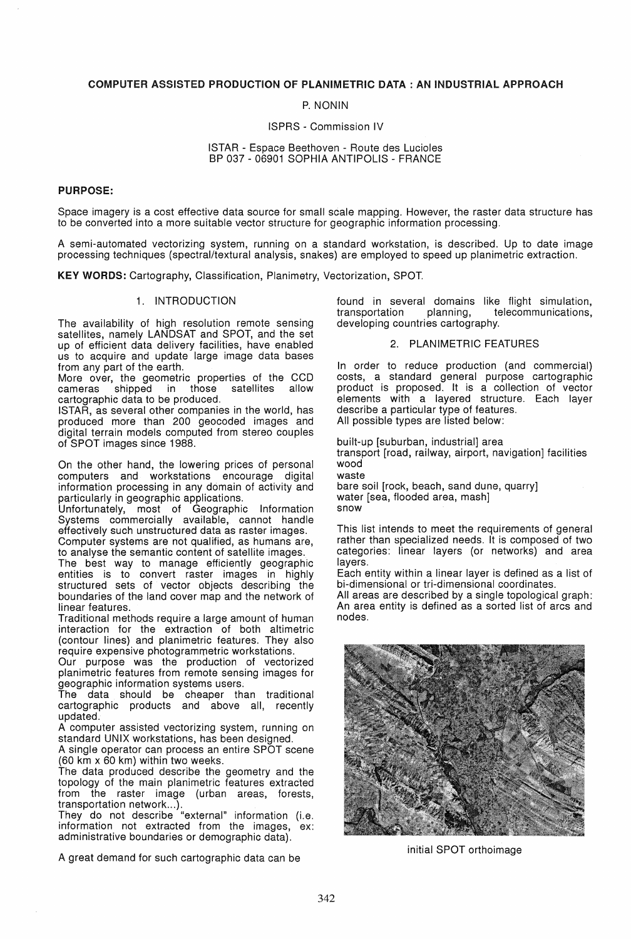### COMPUTER ASSISTED PRODUCTION OF PLANIMETRIC DATA: AN INDUSTRIAL APPROACH

P. NONIN

### ISPRS - Commission IV

#### ISTAR - Espace Beethoven - Route des Lucioles BP 037 - 06901 SOPHIA ANTIPOLIS - FRANCE

#### PURPOSE:

Space imagery is a cost effective data source for small scale mapping. However, the raster data structure has to be converted into a more suitable vector structure for geographic information processing.

A semi-automated vectorizing system, running on a standard workstation, is described. Up to date image processing techniques (spectral/textural analysis, snakes) are employed to speed up planimetric extraction.

KEY WORDS: Cartography, Classification, Planimetry, Vectorization, SPOT.

### 1. INTRODUCTION

The availability of high resolution remote sensing satellites, namely LANDSAT and SPOT, and the set up of efficient data delivery facilities, have enabled us to acquire and update large image data bases from any part of the earth.

More over, the geometric properties of the CCD cameras shipped in those satellites allow cameras shipped in those satellites allow cartographic data to be produced.

ISTAR, as several other companies in the world, has produced more than 200 geocoded images and digital terrain models computed from stereo couples of SPOT images since 1988.

On the other hand, the lowering prices of personal computers and workstations encourage digital information processing in any domain of activity and particularly in geographic applications.

Unfortunately, most of Geographic Information Systems commercially available, cannot handle effectively such unstructured data as raster images. Computer systems are not qualified, as humans are,

to analyse the semantic content of satellite images.

The best way to manage efficiently geographic entities is to convert raster images in highly structured sets of vector objects describing the boundaries of the land cover map and the network of linear features.

Traditional methods require a large amount of human interaction for the extraction of both altimetric (contour lines) and planimetric features. They also require expensive photogrammetric workstations.

Our purpose was the production of vectorized planimetric features from remote sensing images for geographic information systems users.

The data should be cheaper than traditional cartographic products and above all, recently updated.

A computer assisted vectorizing system, running on standard UNIX workstations, has been designed.

A single operator can process an entire SPOT scene (60 km x 60 km) within two weeks.

The data produced describe the geometry and the topology of the main planimetric features extracted from the raster image (urban areas, forests, transportation network...).

They do not describe "external" information (i.e. information not extracted from the images, ex: administrative boundaries or demographic data).

A great demand for such cartographic data can be

found in several domains like flight simulation, transportation planning, telecommunications, developing countries cartography.

### 2. PLANIMETRIC FEATURES

In order to reduce production (and commercial) costs, a standard general purpose cartographic product is proposed. It is a collection of vector elements with a layered structure. Each layer describe a particular type of features. All possible types are listed below:

built-up [suburban, industrial] area transport [road, railway, airport, navigation] facilities wood waste bare soil [rock, beach, sand dune, quarry] water [sea, flooded area, mash]

snow

This list intends to meet the requirements of general rather than specialized needs. It is composed of two categories: linear layers (or networks) and area layers.

Each entity within a linear layer is defined as a list of bi-dimensional or tri-dimensional coordinates.

All areas are described by a single topological graph: An area entity is defined as a sorted list of arcs and nodes.



initial SPOT orthoimage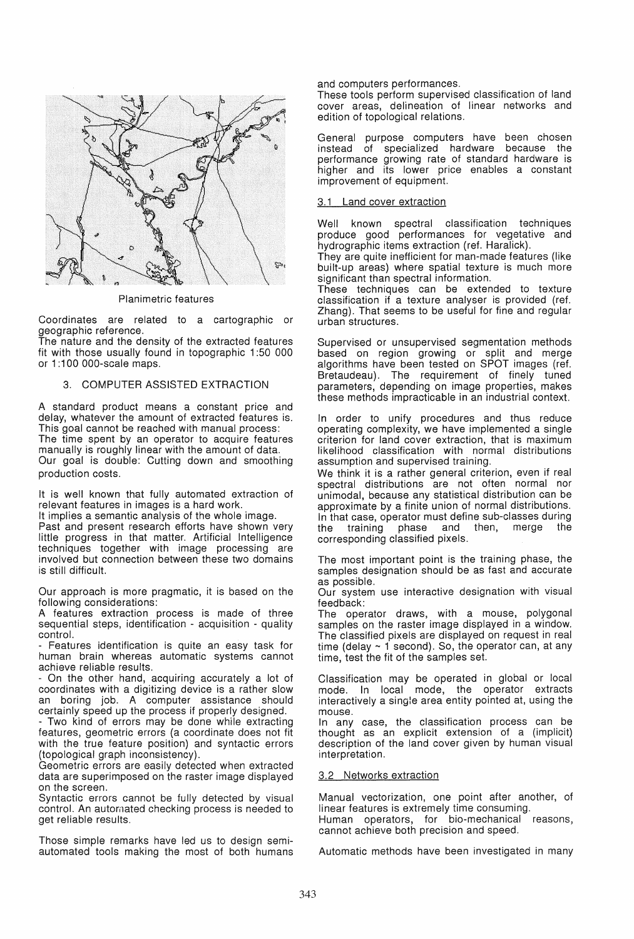

Planimetric features

Coordinates are related to a cartographic or geographic reference.

The nature and the density of the extracted features fit with those usually found in topographic 1 :50 000 or 1:100 000-scale maps.

### 3. COMPUTER ASSISTED EXTRACTION

A standard product means a constant price and delay, whatever the amount of extracted features is. This goal cannot be reached with manual process: The time spent by an operator to acquire features manually is roughly linear with the amount of data. Our goal is double: Cutting down and smoothing production costs.

It is well known that fully automated extraction of relevant features in images is a hard work.

It implies a semantic analysis of the whole image. Past and present research efforts have shown very little progress in that matter. Artificial Intelligence techniques together with image processing are involved but connection between these two domains is still difficult.

Our approach is more pragmatic, it is based on the following considerations:

A features extraction process is made of three sequential steps, identification - acquisition - quality control.

- Features identification is quite an easy task for human brain whereas automatic systems cannot achieve reliable results.

- On the other hand, acquiring accurately a lot of coordinates with a digitizing device is a rather slow an boring job. A computer assistance should certainly speed up the process if properly designed.

- Two kind of errors may be done while extracting features, geometric errors (a coordinate does not fit with the true feature position) and syntactic errors (topological graph inconsistency).

Geometric errors are easily detected when extracted data are superimposed on the raster image displayed on the screen.

Syntactic errors cannot be fully detected by visual control. An automated checking process is needed to get reliable results.

Those simple remarks have led us to design semiautomated tools making the most of both humans and computers performances.

These tools perform supervised classification of land cover areas, delineation of linear networks and edition of topological relations.

General purpose computers have been chosen instead of specialized hardware because the performance growing rate of standard hardware is higher and its lower price enables a constant improvement of equipment.

### 3.1 Land cover extraction

Well known spectral classification techniques produce good performances for vegetative and hydrographic items extraction (ref. Haralick).

They are quite inefficient for man-made features (like built-up areas) where spatial texture is much more significant than spectral information.

These techniques can be extended to texture classification if a texture analyser is provided (ref. Zhang). That seems to be useful for fine and regular urban structures.

Supervised or unsupervised segmentation methods based on region growing or split and merge algorithms have been tested on SPOT images (ref. Bretaudeau). The requirement of finely tuned parameters, depending on image properties, makes these methods impracticable in an industrial context.

In order to unify procedures and thus reduce operating complexity, we have implemented a single criterion for land cover extraction, that is maximum likelihood classification with normal distributions assumption and supervised training.

We think it is a rather general criterion, even if real spectral distributions are not often normal nor unimodal, because any statistical distribution can be approximate by a finite union of normal distributions. In that case, operator must define sub-classes during the training phase and then, merge the corresponding classified pixels.

The most important point is the training phase, the samples designation should be as fast and accurate as possible.

Our system use interactive designation with visual feedback:

The operator draws, with a mouse, polygonal samples on the raster image displayed in a window. The classified pixels are displayed on request in real time (delay  $\sim$  1 second). So, the operator can, at any time, test the fit of the samples set.

Classification may be operated in global or local mode. In local mode, the operator extracts interactively a single area entity pointed at, using the mouse.

In any case, the classification process can be thought as an explicit extension of a (implicit) description of the land cover given by human visual interpretation.

### 3.2 Networks extraction

Manual vectorization, one point after another, of linear features is extremely time consuming. Human operators, for bio-mechanical reasons, cannot achieve both precision and speed.

Automatic methods have been investigated in many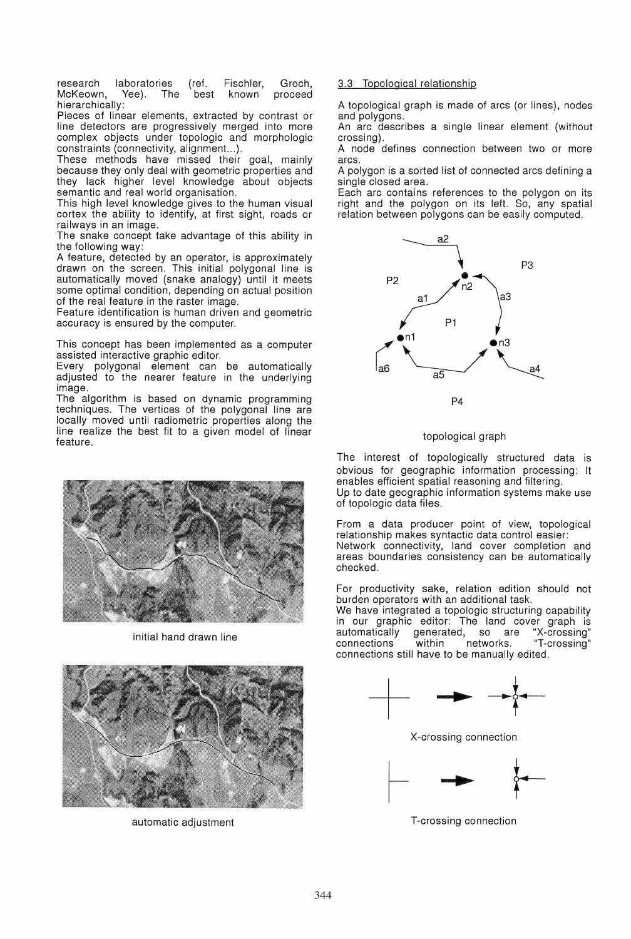research laboratories (ref. Fischler, Groch,<br>McKeown, Yee). The best known proceed McKeown. hierarchically:

Pieces of linear elements, extracted by contrast or line detectors are progressively merged into more complex objects under topologic and morphologic constraints (connectivity, alignment. .. ).

These methods have missed their goal, mainly because they only deal with geometric properties and they lack higher level knowledge about objects semantic and real world organisation.

This high level knowledge gives to the human visual cortex the ability to identify, at first sight, roads or railways in an image.

The snake concept take advantage of this ability in the following way:

A feature, detected by an operator, is approximately drawn on the screen. This initial polygonal line is automatically moved (snake analogy) until it meets some optimal condition, depending on actual position of the real feature in the raster image.

Feature identification is human driven and geometric accuracy is ensured by the computer.

This concept has been implemented as a computer assisted interactive graphic editor.

Every polygonal element can be automatically adjusted to the nearer feature in the underlying image.

The algorithm is based on dynamic programming techniques. The vertices of the polygonal line are locally moved until radiometric properties along the line realize the best fit to a given model of linear feature.



initial hand drawn line



automatic adjustment T-crossing connection

# 3.3 Topological relationship

A topological graph is made of arcs (or lines), nodes and polygons.

An arc describes a single linear element (without crossing).

A node defines connection between two or more arcs.

A polygon is a sorted list of connected arcs defining a single closed area.

Each arc contains references to the polygon on its right and the polygon on its left. So, any spatial relation between polygons can be easily computed.



# topological graph

The interest of topologically structured data is obvious for geographic information processing: It enables efficient spatial reasoning and filtering. Up to date geographic information systems make use of topologic data files.

From a data producer point of view, topological relationship makes syntactic data control easier: Network connectivity, land cover completion and areas boundaries consistency can be automatically checked.

For productivity sake, relation edition should not burden operators with an additional task.

We have integrated a topologic structuring capability in our graphic editor: The land cover graph is generated, so are<br>within networks. connections within networks. "T-crossing" connections still have to be manually edited.